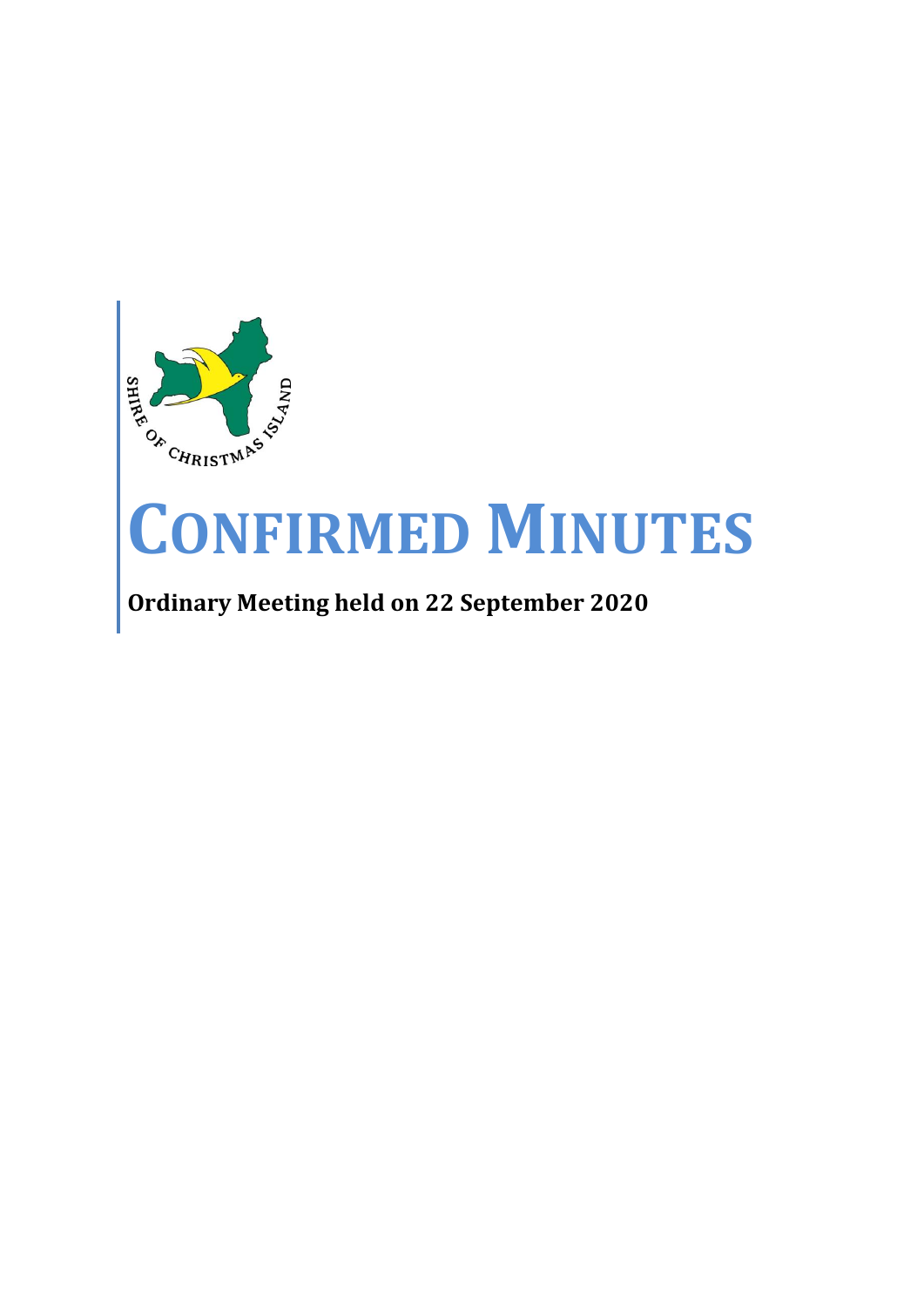

# **CONFIRMED MINUTES**

## **Ordinary Meeting held on 22 September 2020**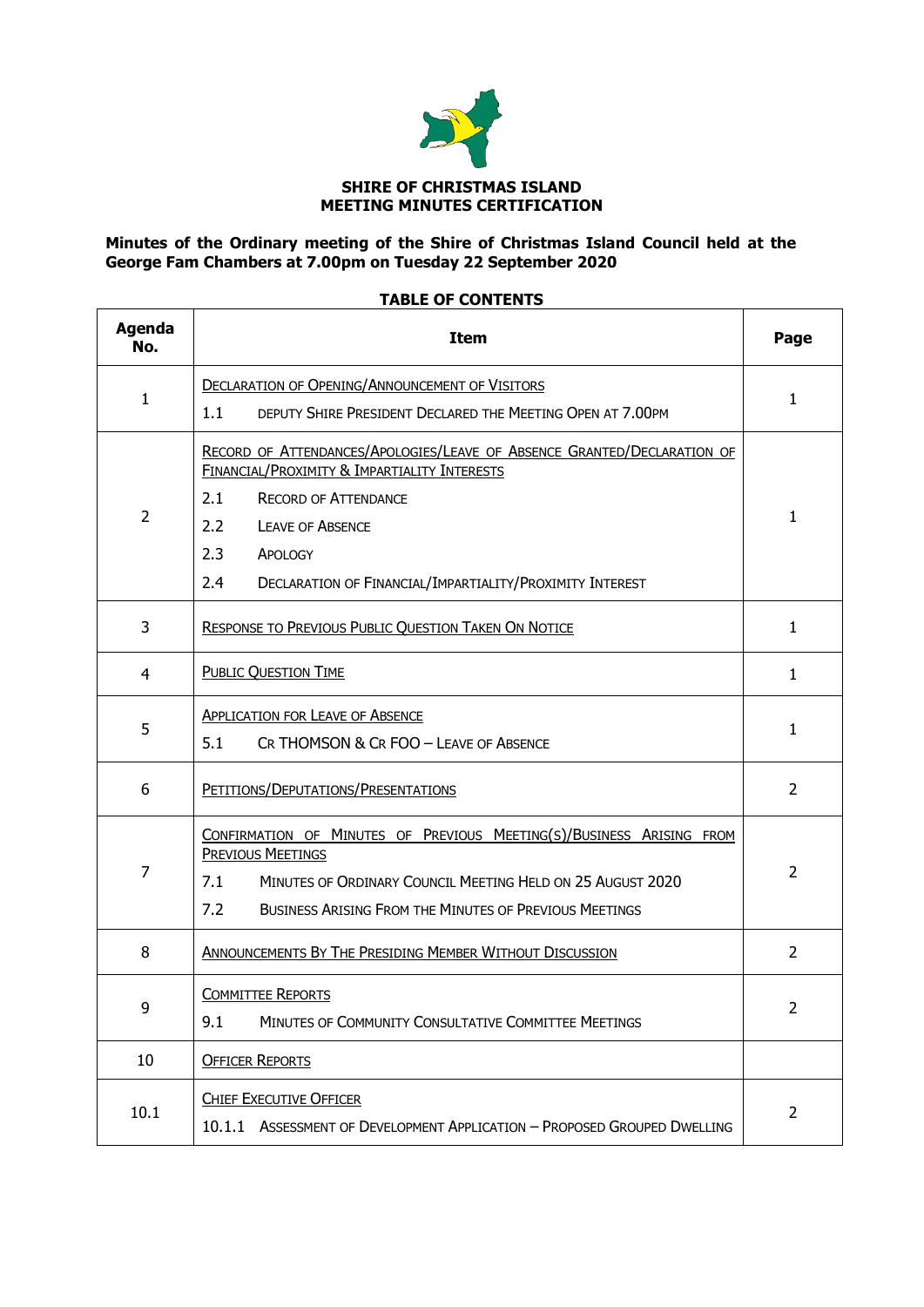

### **Minutes of the Ordinary meeting of the Shire of Christmas Island Council held at the George Fam Chambers at 7.00pm on Tuesday 22 September 2020**

### **TABLE OF CONTENTS**

 $\mathbf{r}$ 

L,

| <b>Agenda</b><br>No. | <b>Item</b>                                                                                                                                                                                                                            | Page           |  |
|----------------------|----------------------------------------------------------------------------------------------------------------------------------------------------------------------------------------------------------------------------------------|----------------|--|
| $\mathbf{1}$         | <b>DECLARATION OF OPENING/ANNOUNCEMENT OF VISITORS</b>                                                                                                                                                                                 | 1              |  |
|                      | 1.1<br>DEPUTY SHIRE PRESIDENT DECLARED THE MEETING OPEN AT 7.00PM                                                                                                                                                                      |                |  |
|                      | RECORD OF ATTENDANCES/APOLOGIES/LEAVE OF ABSENCE GRANTED/DECLARATION OF<br>FINANCIAL/PROXIMITY & IMPARTIALITY INTERESTS                                                                                                                |                |  |
|                      | 2.1<br><b>RECORD OF ATTENDANCE</b>                                                                                                                                                                                                     |                |  |
| $\overline{2}$       | 2.2<br><b>LEAVE OF ABSENCE</b>                                                                                                                                                                                                         | 1              |  |
|                      | 2.3<br>APOLOGY                                                                                                                                                                                                                         |                |  |
|                      | 2.4<br>DECLARATION OF FINANCIAL/IMPARTIALITY/PROXIMITY INTEREST                                                                                                                                                                        |                |  |
| 3                    | <b>RESPONSE TO PREVIOUS PUBLIC QUESTION TAKEN ON NOTICE</b>                                                                                                                                                                            | 1              |  |
| $\overline{4}$       | PUBLIC QUESTION TIME                                                                                                                                                                                                                   | 1              |  |
|                      | <b>APPLICATION FOR LEAVE OF ABSENCE</b>                                                                                                                                                                                                |                |  |
| 5                    | 5.1<br>CR THOMSON & CR FOO - LEAVE OF ABSENCE                                                                                                                                                                                          | 1              |  |
| 6                    | PETITIONS/DEPUTATIONS/PRESENTATIONS                                                                                                                                                                                                    | 2              |  |
| 7                    | CONFIRMATION OF MINUTES OF PREVIOUS MEETING(S)/BUSINESS ARISING FROM<br><b>PREVIOUS MEETINGS</b><br>7.1<br>MINUTES OF ORDINARY COUNCIL MEETING HELD ON 25 AUGUST 2020<br>7.2<br>BUSINESS ARISING FROM THE MINUTES OF PREVIOUS MEETINGS | $\overline{2}$ |  |
| 8                    | <b>ANNOUNCEMENTS BY THE PRESIDING MEMBER WITHOUT DISCUSSION</b>                                                                                                                                                                        | $\overline{2}$ |  |
| q                    | <b>COMMITTEE REPORTS</b><br>9.1<br>MINUTES OF COMMUNITY CONSULTATIVE COMMITTEE MEETINGS                                                                                                                                                | 2              |  |
|                      |                                                                                                                                                                                                                                        |                |  |
| 10                   | <b>OFFICER REPORTS</b>                                                                                                                                                                                                                 |                |  |
| 10.1                 | <b>CHIEF EXECUTIVE OFFICER</b><br>10.1.1 ASSESSMENT OF DEVELOPMENT APPLICATION - PROPOSED GROUPED DWELLING                                                                                                                             | $\overline{2}$ |  |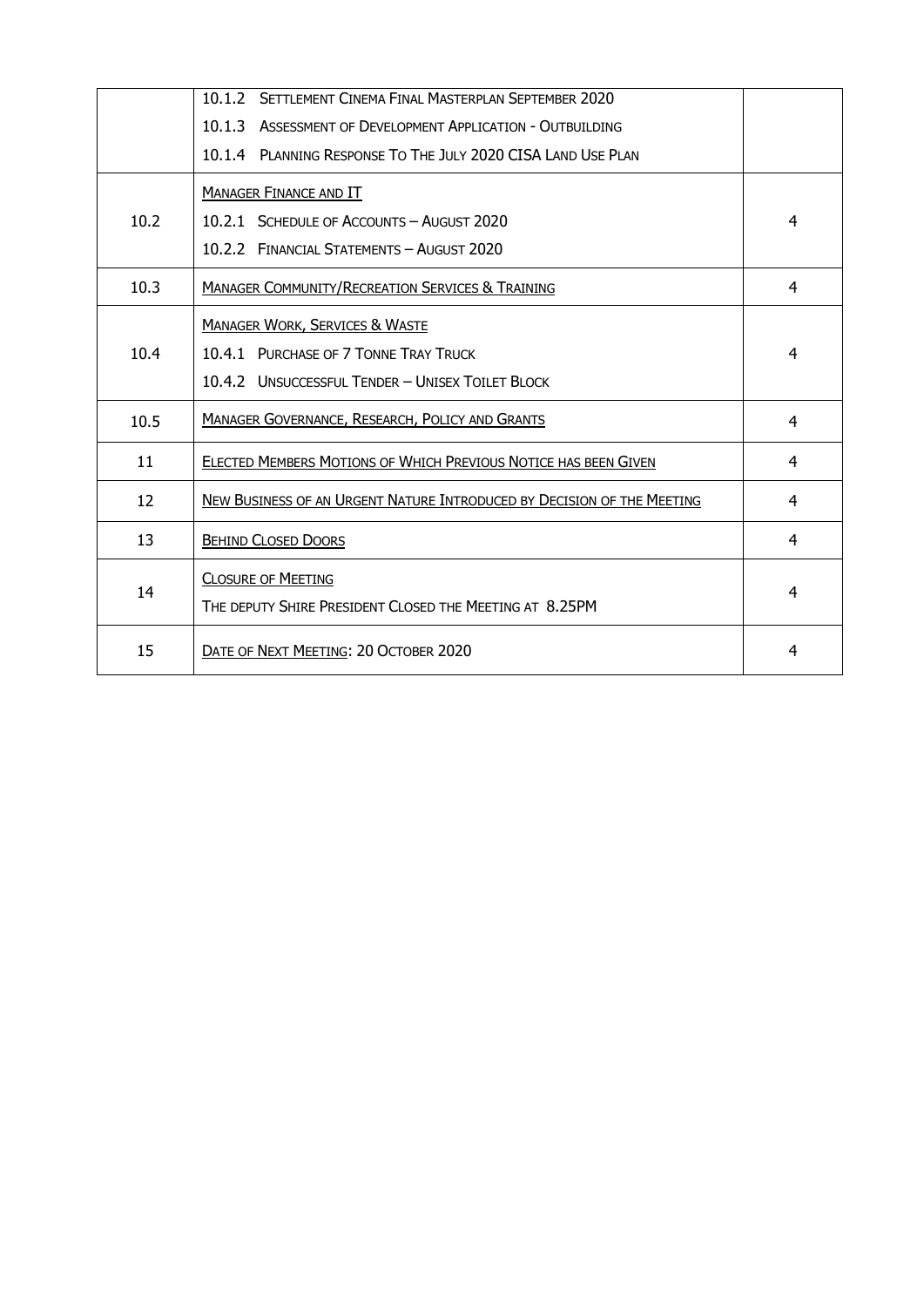|      | 10.1.2 SETTLEMENT CINEMA FINAL MASTERPLAN SEPTEMBER 2020               |   |
|------|------------------------------------------------------------------------|---|
|      | 10.1.3 ASSESSMENT OF DEVELOPMENT APPLICATION - OUTBUILDING             |   |
|      | 10.1.4 PLANNING RESPONSE TO THE JULY 2020 CISA LAND USE PLAN           |   |
|      | <b>MANAGER FINANCE AND IT</b>                                          |   |
| 10.2 | 10.2.1 SCHEDULE OF ACCOUNTS - AUGUST 2020                              | 4 |
|      | 10.2.2 FINANCIAL STATEMENTS - AUGUST 2020                              |   |
| 10.3 | <b>MANAGER COMMUNITY/RECREATION SERVICES &amp; TRAINING</b>            | 4 |
|      | <b>MANAGER WORK, SERVICES &amp; WASTE</b>                              |   |
| 10.4 | 10.4.1 PURCHASE OF 7 TONNE TRAY TRUCK                                  | 4 |
|      | 10.4.2 UNSUCCESSFUL TENDER - UNISEX TOILET BLOCK                       |   |
| 10.5 | MANAGER GOVERNANCE, RESEARCH, POLICY AND GRANTS                        | 4 |
| 11   | ELECTED MEMBERS MOTIONS OF WHICH PREVIOUS NOTICE HAS BEEN GIVEN        | 4 |
| 12   | NEW BUSINESS OF AN URGENT NATURE INTRODUCED BY DECISION OF THE MEETING | 4 |
| 13   | <b>BEHIND CLOSED DOORS</b>                                             | 4 |
| 14   | <b>CLOSURE OF MEETING</b>                                              | 4 |
|      | THE DEPUTY SHIRE PRESIDENT CLOSED THE MEETING AT 8.25PM                |   |
| 15   | DATE OF NEXT MEETING: 20 OCTOBER 2020                                  | 4 |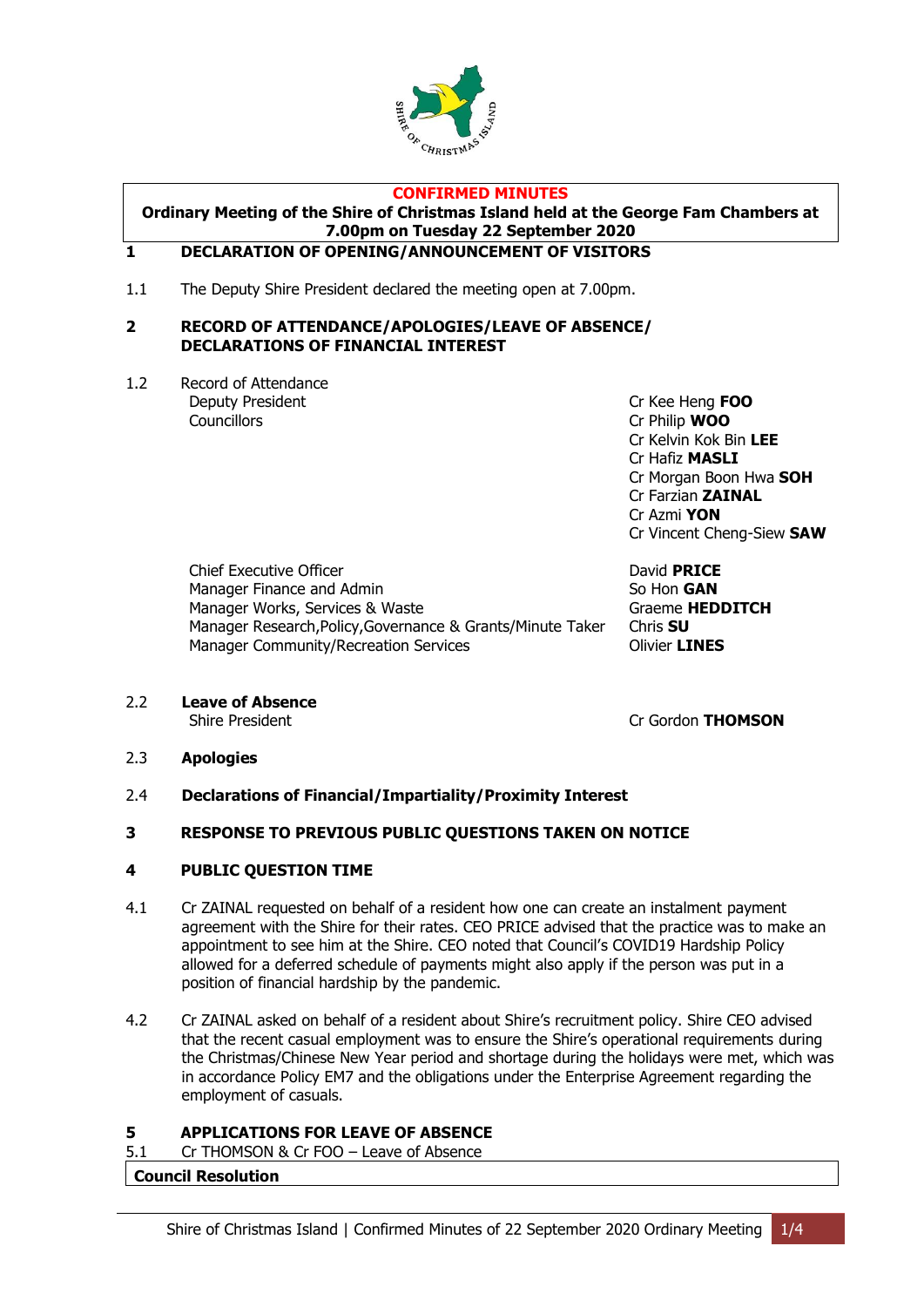

### **CONFIRMED MINUTES**

**Ordinary Meeting of the Shire of Christmas Island held at the George Fam Chambers at 7.00pm on Tuesday 22 September 2020**

#### <span id="page-3-0"></span>**1 DECLARATION OF OPENING/ANNOUNCEMENT OF VISITORS**

1.1 The Deputy Shire President declared the meeting open at 7.00pm.

#### <span id="page-3-1"></span>**2 RECORD OF ATTENDANCE/APOLOGIES/LEAVE OF ABSENCE/ DECLARATIONS OF FINANCIAL INTEREST**

1.2 Record of Attendance Deputy President **Cr Kee Heng <b>FOO** Councillors Cr Philip **WOO**

Cr Kelvin Kok Bin **LEE** Cr Hafiz **MASLI** Cr Morgan Boon Hwa **SOH** Cr Farzian **ZAINAL** Cr Azmi **YON** Cr Vincent Cheng-Siew **SAW**

Chief Executive Officer **David PRICE** Manager Finance and Admin So Hon **GAN** Manager Works, Services & Waste Graeme **HEDDITCH** Manager Research,Policy,Governance & Grants/Minute Taker Chris **SU** Manager Community/Recreation Services **Community** Olivier **LINES** 

2.2 **Leave of Absence**

Shire President **Cr Gordon THOMSON** 

### 2.3 **Apologies**

2.4 **Declarations of Financial/Impartiality/Proximity Interest**

### <span id="page-3-2"></span>**3 RESPONSE TO PREVIOUS PUBLIC QUESTIONS TAKEN ON NOTICE**

### <span id="page-3-3"></span>**4 PUBLIC QUESTION TIME**

- 4.1 Cr ZAINAL requested on behalf of a resident how one can create an instalment payment agreement with the Shire for their rates. CEO PRICE advised that the practice was to make an appointment to see him at the Shire. CEO noted that Council's COVID19 Hardship Policy allowed for a deferred schedule of payments might also apply if the person was put in a position of financial hardship by the pandemic.
- 4.2 Cr ZAINAL asked on behalf of a resident about Shire's recruitment policy. Shire CEO advised that the recent casual employment was to ensure the Shire's operational requirements during the Christmas/Chinese New Year period and shortage during the holidays were met, which was in accordance Policy EM7 and the obligations under the Enterprise Agreement regarding the employment of casuals.

### <span id="page-3-4"></span>**5 APPLICATIONS FOR LEAVE OF ABSENCE**

5.1 Cr THOMSON & Cr FOO – Leave of Absence

### **Council Resolution**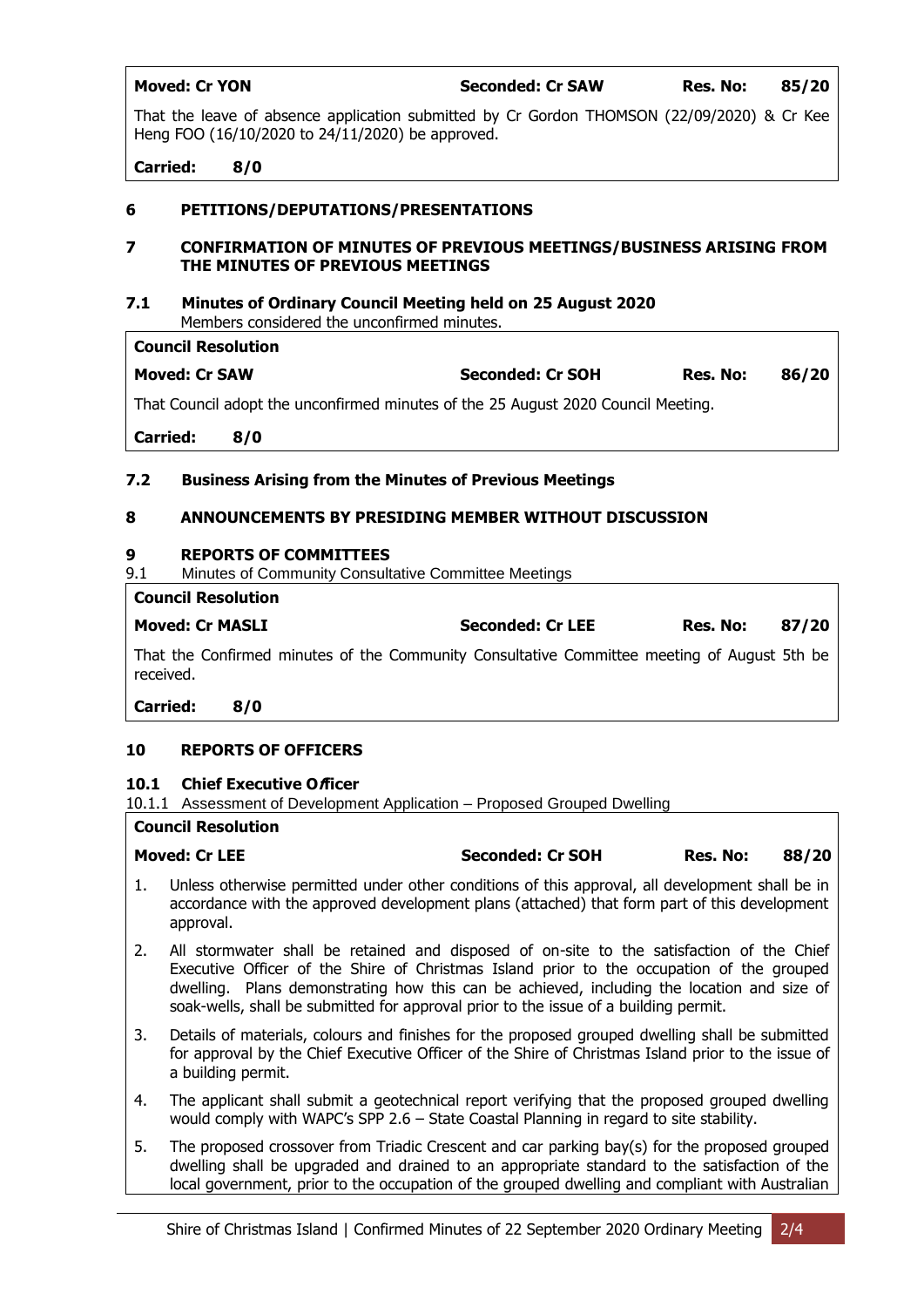| <b>Moved: Cr YON</b> | Seconded: Cr SAW | Res. No: | 85/20 |
|----------------------|------------------|----------|-------|

That the leave of absence application submitted by Cr Gordon THOMSON (22/09/2020) & Cr Kee Heng FOO (16/10/2020 to 24/11/2020) be approved.

### **Carried: 8/0**

### <span id="page-4-0"></span>**6 PETITIONS/DEPUTATIONS/PRESENTATIONS**

### <span id="page-4-1"></span>**7 CONFIRMATION OF MINUTES OF PREVIOUS MEETINGS/BUSINESS ARISING FROM THE MINUTES OF PREVIOUS MEETINGS**

### **7.1 Minutes of Ordinary Council Meeting held on 25 August 2020**

Members considered the unconfirmed minutes.

| <b>Council Resolution</b>                                                         |     |                         |          |       |  |  |  |
|-----------------------------------------------------------------------------------|-----|-------------------------|----------|-------|--|--|--|
| <b>Moved: Cr SAW</b>                                                              |     | <b>Seconded: Cr SOH</b> | Res. No: | 86/20 |  |  |  |
| That Council adopt the unconfirmed minutes of the 25 August 2020 Council Meeting. |     |                         |          |       |  |  |  |
| <b>Carried:</b>                                                                   | 8/0 |                         |          |       |  |  |  |

### **7.2 Business Arising from the Minutes of Previous Meetings**

### <span id="page-4-2"></span>**8 ANNOUNCEMENTS BY PRESIDING MEMBER WITHOUT DISCUSSION**

### <span id="page-4-3"></span>**9 REPORTS OF COMMITTEES**

9.1 Minutes of Community Consultative Committee Meetings

|           | <b>Council Resolution</b>                                                                   |                  |          |       |
|-----------|---------------------------------------------------------------------------------------------|------------------|----------|-------|
|           | <b>Moved: Cr MASLI</b>                                                                      | Seconded: Cr LEE | Res. No: | 87/20 |
| received. | That the Confirmed minutes of the Community Consultative Committee meeting of August 5th be |                  |          |       |
| Carried:  | 8/0                                                                                         |                  |          |       |

### **10 REPORTS OF OFFICERS**

### <span id="page-4-4"></span>**10.1 Chief Executive Officer**

10.1.1 Assessment of Development Application – Proposed Grouped Dwelling

### **Council Resolution**

| <b>Moved: Cr LEE</b> |  |  |  |  |   | <b>Seconded: Cr SOH</b> |  |  | Res. No: |  | 88/20 |  |
|----------------------|--|--|--|--|---|-------------------------|--|--|----------|--|-------|--|
|                      |  |  |  |  | . |                         |  |  |          |  |       |  |

- 1. Unless otherwise permitted under other conditions of this approval, all development shall be in accordance with the approved development plans (attached) that form part of this development approval.
- 2. All stormwater shall be retained and disposed of on-site to the satisfaction of the Chief Executive Officer of the Shire of Christmas Island prior to the occupation of the grouped dwelling. Plans demonstrating how this can be achieved, including the location and size of soak-wells, shall be submitted for approval prior to the issue of a building permit.
- 3. Details of materials, colours and finishes for the proposed grouped dwelling shall be submitted for approval by the Chief Executive Officer of the Shire of Christmas Island prior to the issue of a building permit.
- 4. The applicant shall submit a geotechnical report verifying that the proposed grouped dwelling would comply with WAPC's SPP 2.6 – State Coastal Planning in regard to site stability.
- 5. The proposed crossover from Triadic Crescent and car parking bay(s) for the proposed grouped dwelling shall be upgraded and drained to an appropriate standard to the satisfaction of the local government, prior to the occupation of the grouped dwelling and compliant with Australian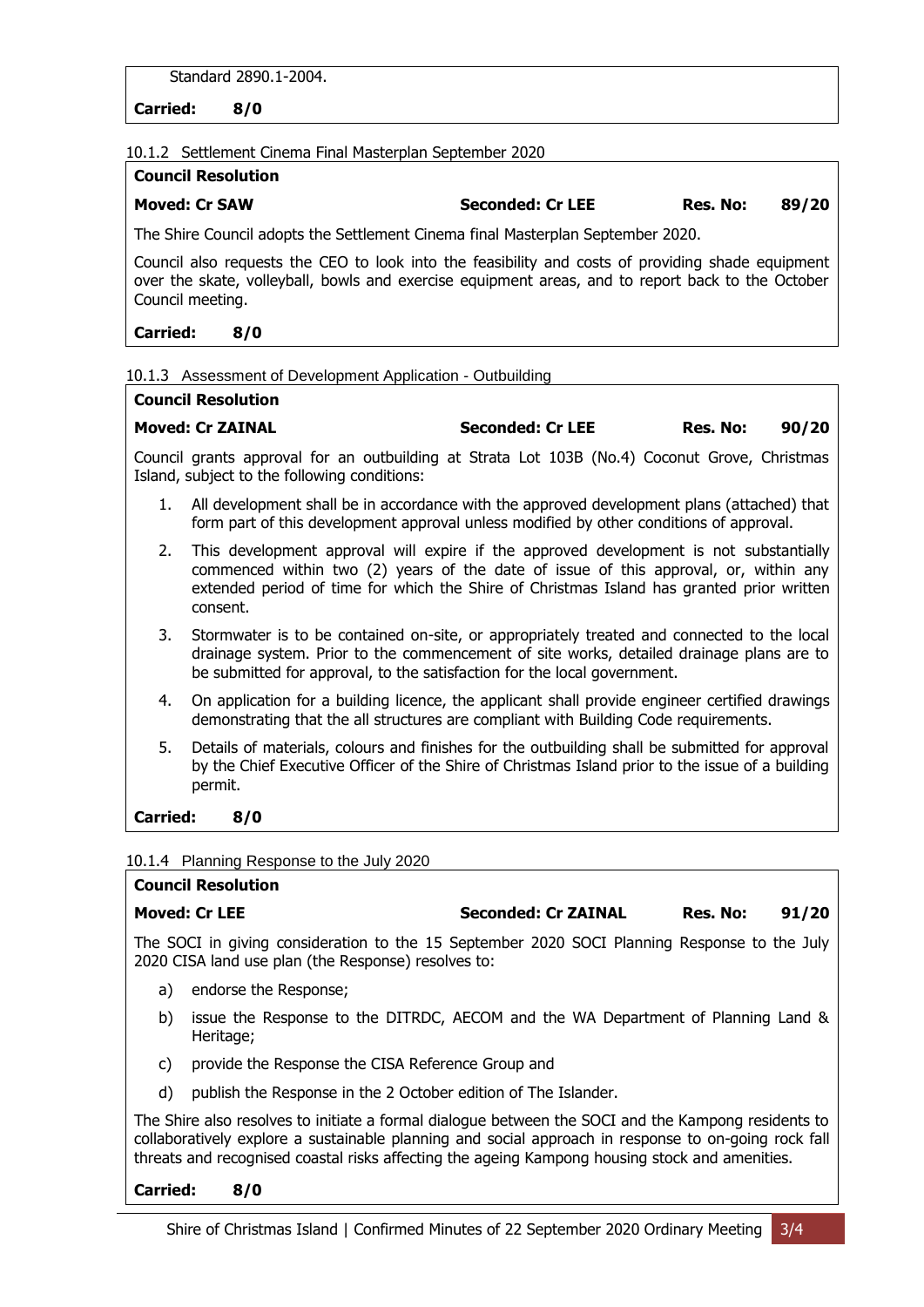Standard 2890.1-2004.

**Carried: 8/0**

10.1.2 Settlement Cinema Final Masterplan September 2020

| <b>Council Resolution</b> |                         |          |       |
|---------------------------|-------------------------|----------|-------|
| <b>Moved: Cr SAW</b>      | <b>Seconded: Cr LEE</b> | Res. No: | 89/20 |

The Shire Council adopts the Settlement Cinema final Masterplan September 2020.

Council also requests the CEO to look into the feasibility and costs of providing shade equipment over the skate, volleyball, bowls and exercise equipment areas, and to report back to the October Council meeting.

### **Carried: 8/0**

### 10.1.3 Assessment of Development Application - Outbuilding

| Council Resolution |                         |          |       |
|--------------------|-------------------------|----------|-------|
| Moved: Cr ZAINAL   | <b>Seconded: Cr LEE</b> | Res. No: | 90/20 |

Council grants approval for an outbuilding at Strata Lot 103B (No.4) Coconut Grove, Christmas Island, subject to the following conditions:

- 1. All development shall be in accordance with the approved development plans (attached) that form part of this development approval unless modified by other conditions of approval.
- 2. This development approval will expire if the approved development is not substantially commenced within two (2) years of the date of issue of this approval, or, within any extended period of time for which the Shire of Christmas Island has granted prior written consent.
- 3. Stormwater is to be contained on-site, or appropriately treated and connected to the local drainage system. Prior to the commencement of site works, detailed drainage plans are to be submitted for approval, to the satisfaction for the local government.
- 4. On application for a building licence, the applicant shall provide engineer certified drawings demonstrating that the all structures are compliant with Building Code requirements.
- 5. Details of materials, colours and finishes for the outbuilding shall be submitted for approval by the Chief Executive Officer of the Shire of Christmas Island prior to the issue of a building permit.

### **Carried: 8/0**

10.1.4 Planning Response to the July 2020

### **Council Resolution**

**Moved: Cr LEE Seconded: Cr ZAINAL Res. No: 91/20**

The SOCI in giving consideration to the 15 September 2020 SOCI Planning Response to the July 2020 CISA land use plan (the Response) resolves to:

- a) endorse the Response;
- b) issue the Response to the DITRDC, AECOM and the WA Department of Planning Land & Heritage;
- c) provide the Response the CISA Reference Group and
- d) publish the Response in the 2 October edition of The Islander.

The Shire also resolves to initiate a formal dialogue between the SOCI and the Kampong residents to collaboratively explore a sustainable planning and social approach in response to on-going rock fall threats and recognised coastal risks affecting the ageing Kampong housing stock and amenities.

### **Carried: 8/0**